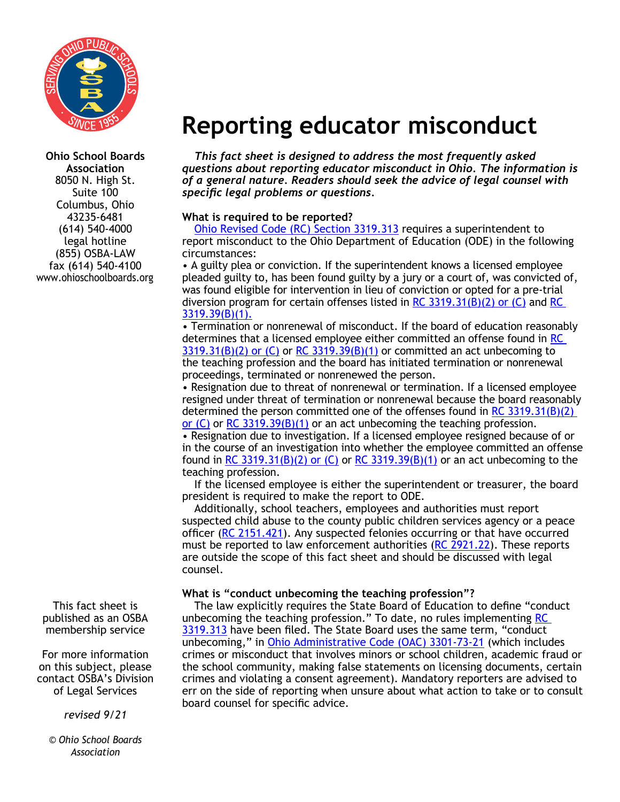

**Ohio School Boards Association** 8050 N. High St. Suite 100 Columbus, Ohio 43235-6481 (614) 540-4000 legal hotline (855) OSBA-LAW fax (614) 540-4100 www.ohioschoolboards.org

This fact sheet is published as an OSBA membership service

For more information on this subject, please contact OSBA's Division of Legal Services

*revised 9/21*

*© Ohio School Boards Association*

# **Reporting educator misconduct**

*This fact sheet is designed to address the most frequently asked questions about reporting educator misconduct in Ohio. The information is of a general nature. Readers should seek the advice of legal counsel with specific legal problems or questions.*

# **What is required to be reported?**

[Ohio Revised Code \(RC\) Section 3319.313](https://codes.ohio.gov/ohio-revised-code/section-3319.313) requires a superintendent to report misconduct to the Ohio Department of Education (ODE) in the following circumstances:

• A guilty plea or conviction. If the superintendent knows a licensed employee pleaded guilty to, has been found guilty by a jury or a court of, was convicted of, was found eligible for intervention in lieu of conviction or opted for a pre-trial diversion program for certain offenses listed in [RC](https://codes.ohio.gov/ohio-revised-code/section-3319.39)  $3319.31(B)(2)$  or (C) and RC [3319.39\(B\)\(1\).](https://codes.ohio.gov/ohio-revised-code/section-3319.39)

• Termination or nonrenewal of misconduct. If the board of education reasonably determines that a licensed employee either committed an offense found in [RC](https://codes.ohio.gov/ohio-revised-code/section-3319.31)   $3319.31(B)(2)$  or (C) or [RC 3319.39\(B\)\(1\)](https://codes.ohio.gov/ohio-revised-code/section-3319.39) or committed an act unbecoming to the teaching profession and the board has initiated termination or nonrenewal proceedings, terminated or nonrenewed the person.

• Resignation due to threat of nonrenewal or termination. If a licensed employee resigned under threat of termination or nonrenewal because the board reasonably determined the person committed one of the offenses found in RC  $3319.31(B)(2)$ [or \(C\)](https://codes.ohio.gov/ohio-revised-code/section-3319.31) or [RC 3319.39\(B\)\(1\)](https://codes.ohio.gov/ohio-revised-code/section-3319.39) or an act unbecoming the teaching profession.

• Resignation due to investigation. If a licensed employee resigned because of or in the course of an investigation into whether the employee committed an offense found in [RC 3319.31\(B\)\(2\) or \(C\)](https://codes.ohio.gov/ohio-revised-code/section-3319.31) or [RC 3319.39\(B\)\(1\)](https://codes.ohio.gov/ohio-revised-code/section-3319.39) or an act unbecoming to the teaching profession.

If the licensed employee is either the superintendent or treasurer, the board president is required to make the report to ODE.

Additionally, school teachers, employees and authorities must report suspected child abuse to the county public children services agency or a peace officer ([RC 2151.421\)](https://codes.ohio.gov/ohio-revised-code/section-2151.421). Any suspected felonies occurring or that have occurred must be reported to law enforcement authorities [\(RC 2921.22](https://codes.ohio.gov/ohio-revised-code/section-2921.22)). These reports are outside the scope of this fact sheet and should be discussed with legal counsel.

# **What is "conduct unbecoming the teaching profession"?**

The law explicitly requires the State Board of Education to define "conduct unbecoming the teaching profession." To date, no rules implementing RC [3319.313](https://codes.ohio.gov/ohio-revised-code/section-3319.313) have been filed. The State Board uses the same term, "conduct unbecoming," in [Ohio Administrative Code \(OAC\) 3301-73-21](https://codes.ohio.gov/ohio-administrative-code/rule-3301-73-21) (which includes crimes or misconduct that involves minors or school children, academic fraud or the school community, making false statements on licensing documents, certain crimes and violating a consent agreement). Mandatory reporters are advised to err on the side of reporting when unsure about what action to take or to consult board counsel for specific advice.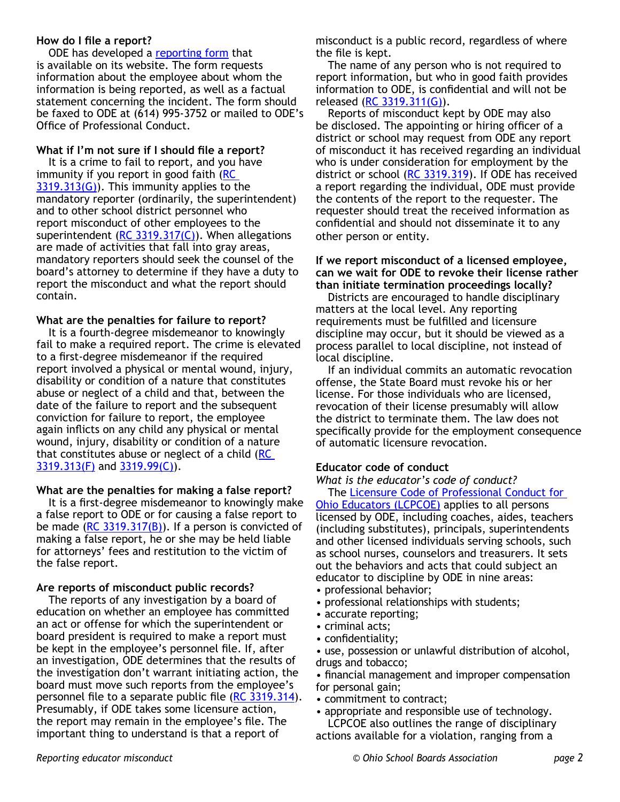#### **How do I file a report?**

ODE has developed a [reporting form](http://education.ohio.gov/getattachment/Topics/Teaching/Educator-Conduct/Educator-Professional-Conduct-Forms/Educator-Misconduct-Reporting-Form.pdf.aspx?lang=en-US) that is available on its website. The form requests information about the employee about whom the information is being reported, as well as a factual statement concerning the incident. The form should be faxed to ODE at (614) 995-3752 or mailed to ODE's Office of Professional Conduct.

#### **What if I'm not sure if I should file a report?**

It is a crime to fail to report, and you have immunity if you report in good faith [\(RC](https://codes.ohio.gov/ohio-revised-code/section-3319.313)   $3319.313(G)$ ). This immunity applies to the mandatory reporter (ordinarily, the superintendent) and to other school district personnel who report misconduct of other employees to the superintendent ( $RC$  3319.317( $C$ )). When allegations are made of activities that fall into gray areas, mandatory reporters should seek the counsel of the board's attorney to determine if they have a duty to report the misconduct and what the report should contain.

## **What are the penalties for failure to report?**

It is a fourth-degree misdemeanor to knowingly fail to make a required report. The crime is elevated to a first-degree misdemeanor if the required report involved a physical or mental wound, injury, disability or condition of a nature that constitutes abuse or neglect of a child and that, between the date of the failure to report and the subsequent conviction for failure to report, the employee again inflicts on any child any physical or mental wound, injury, disability or condition of a nature that constitutes abuse or neglect of a child  $(RC)$  $3319.313$ (F) and  $3319.99$ (C)).

## **What are the penalties for making a false report?**

It is a first-degree misdemeanor to knowingly make a false report to ODE or for causing a false report to be made ( $RC$  3319.317( $B$ )). If a person is convicted of making a false report, he or she may be held liable for attorneys' fees and restitution to the victim of the false report.

# **Are reports of misconduct public records?**

The reports of any investigation by a board of education on whether an employee has committed an act or offense for which the superintendent or board president is required to make a report must be kept in the employee's personnel file. If, after an investigation, ODE determines that the results of the investigation don't warrant initiating action, the board must move such reports from the employee's personnel file to a separate public file ([RC 3319.314\)](https://codes.ohio.gov/ohio-revised-code/section-3319.314). Presumably, if ODE takes some licensure action, the report may remain in the employee's file. The important thing to understand is that a report of

misconduct is a public record, regardless of where the file is kept.

The name of any person who is not required to report information, but who in good faith provides information to ODE, is confidential and will not be released [\(RC 3319.311\(G\)\)](https://codes.ohio.gov/ohio-revised-code/section-3319.311).

Reports of misconduct kept by ODE may also be disclosed. The appointing or hiring officer of a district or school may request from ODE any report of misconduct it has received regarding an individual who is under consideration for employment by the district or school [\(RC 3319.319](https://codes.ohio.gov/ohio-revised-code/section-3319.319)). If ODE has received a report regarding the individual, ODE must provide the contents of the report to the requester. The requester should treat the received information as confidential and should not disseminate it to any other person or entity.

#### **If we report misconduct of a licensed employee, can we wait for ODE to revoke their license rather than initiate termination proceedings locally?**

Districts are encouraged to handle disciplinary matters at the local level. Any reporting requirements must be fulfilled and licensure discipline may occur, but it should be viewed as a process parallel to local discipline, not instead of local discipline.

If an individual commits an automatic revocation offense, the State Board must revoke his or her license. For those individuals who are licensed, revocation of their license presumably will allow the district to terminate them. The law does not specifically provide for the employment consequence of automatic licensure revocation.

# **Educator code of conduct**

#### *What is the educator's code of conduct?*

The [Licensure Code of Professional Conduct for](http://education.ohio.gov/getattachment/Topics/Teaching/Educator-Conduct/Licensure-Code-of-Professional-Conduct-for-Ohio-Ed/Licensure-Code-of-Professional-Conduct.pdf.aspx?lang=en-US)  [Ohio Educators \(LCPCOE\)](http://education.ohio.gov/getattachment/Topics/Teaching/Educator-Conduct/Licensure-Code-of-Professional-Conduct-for-Ohio-Ed/Licensure-Code-of-Professional-Conduct.pdf.aspx?lang=en-US) applies to all persons licensed by ODE, including coaches, aides, teachers (including substitutes), principals, superintendents and other licensed individuals serving schools, such as school nurses, counselors and treasurers. It sets out the behaviors and acts that could subject an educator to discipline by ODE in nine areas:

- professional behavior;
- professional relationships with students;
- accurate reporting;
- criminal acts;
- confidentiality;

• use, possession or unlawful distribution of alcohol, drugs and tobacco;

• financial management and improper compensation for personal gain;

- commitment to contract;
- appropriate and responsible use of technology.

LCPCOE also outlines the range of disciplinary actions available for a violation, ranging from a